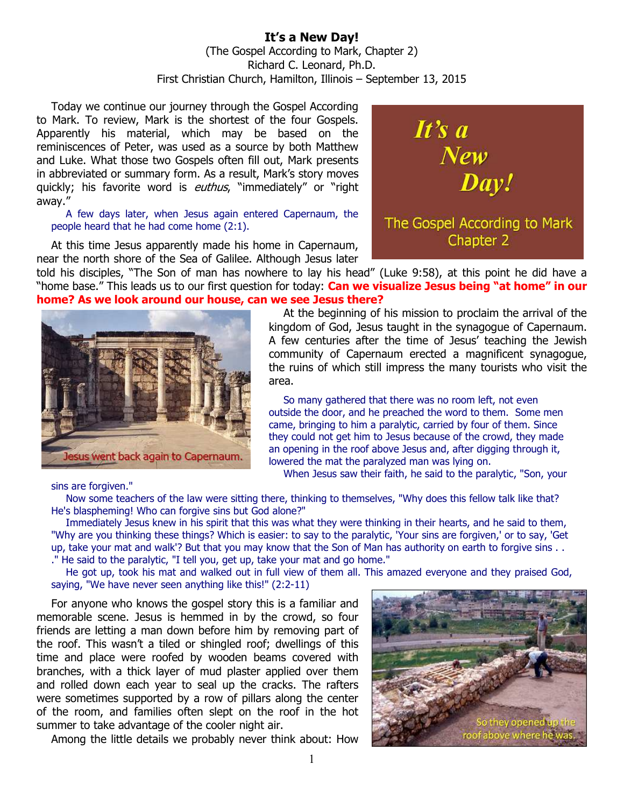## **It's a New Day!**  (The Gospel According to Mark, Chapter 2) Richard C. Leonard, Ph.D. First Christian Church, Hamilton, Illinois – September 13, 2015

Today we continue our journey through the Gospel According to Mark. To review, Mark is the shortest of the four Gospels. Apparently his material, which may be based on the reminiscences of Peter, was used as a source by both Matthew and Luke. What those two Gospels often fill out, Mark presents in abbreviated or summary form. As a result, Mark's story moves quickly; his favorite word is *euthus*, "immediately" or "right away."

A few days later, when Jesus again entered Capernaum, the people heard that he had come home (2:1).

At this time Jesus apparently made his home in Capernaum, near the north shore of the Sea of Galilee. Although Jesus later





kingdom of God, Jesus taught in the synagogue of Capernaum. A few centuries after the time of Jesus' teaching the Jewish community of Capernaum erected a magnificent synagogue, the ruins of which still impress the many tourists who visit the area.

So many gathered that there was no room left, not even outside the door, and he preached the word to them. Some men came, bringing to him a paralytic, carried by four of them. Since they could not get him to Jesus because of the crowd, they made an opening in the roof above Jesus and, after digging through it, lowered the mat the paralyzed man was lying on.

When Jesus saw their faith, he said to the paralytic, "Son, your

sins are forgiven."

Now some teachers of the law were sitting there, thinking to themselves, "Why does this fellow talk like that? He's blaspheming! Who can forgive sins but God alone?"

Immediately Jesus knew in his spirit that this was what they were thinking in their hearts, and he said to them, "Why are you thinking these things? Which is easier: to say to the paralytic, 'Your sins are forgiven,' or to say, 'Get up, take your mat and walk'? But that you may know that the Son of Man has authority on earth to forgive sins . . ." He said to the paralytic, "I tell you, get up, take your mat and go home."

He got up, took his mat and walked out in full view of them all. This amazed everyone and they praised God, saying, "We have never seen anything like this!" (2:2-11)

For anyone who knows the gospel story this is a familiar and memorable scene. Jesus is hemmed in by the crowd, so four friends are letting a man down before him by removing part of the roof. This wasn't a tiled or shingled roof; dwellings of this time and place were roofed by wooden beams covered with branches, with a thick layer of mud plaster applied over them and rolled down each year to seal up the cracks. The rafters were sometimes supported by a row of pillars along the center of the room, and families often slept on the roof in the hot summer to take advantage of the cooler night air.

Among the little details we probably never think about: How



At the beginning of his mission to proclaim the arrival of the

It's a

New<br>Day!

The Gospel According to Mark Chapter 2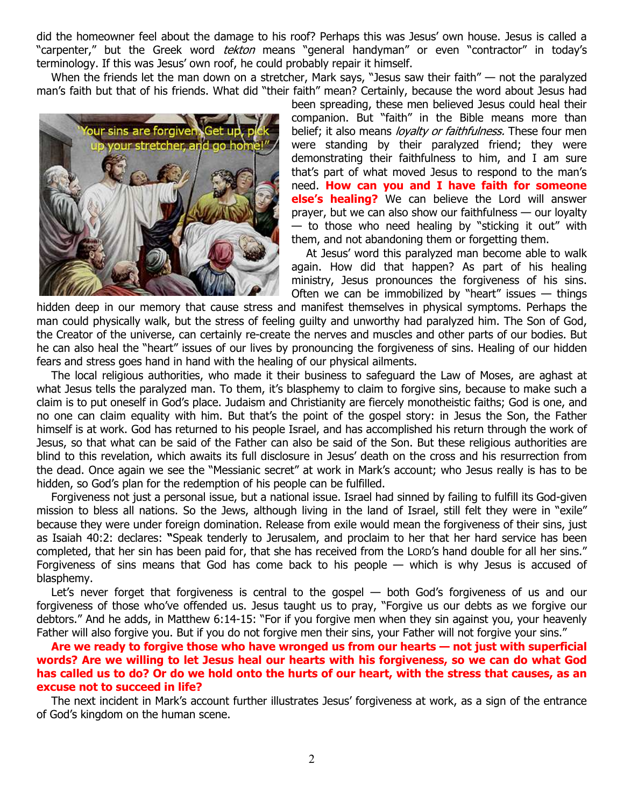did the homeowner feel about the damage to his roof? Perhaps this was Jesus' own house. Jesus is called a "carpenter," but the Greek word *tekton* means "general handyman" or even "contractor" in today's terminology. If this was Jesus' own roof, he could probably repair it himself.

When the friends let the man down on a stretcher, Mark says, "Jesus saw their faith" — not the paralyzed man's faith but that of his friends. What did "their faith" mean? Certainly, because the word about Jesus had



been spreading, these men believed Jesus could heal their companion. But "faith" in the Bible means more than belief; it also means *lovalty or faithfulness*. These four men were standing by their paralyzed friend; they were demonstrating their faithfulness to him, and I am sure that's part of what moved Jesus to respond to the man's need. **How can you and I have faith for someone else's healing?** We can believe the Lord will answer prayer, but we can also show our faithfulness — our loyalty — to those who need healing by "sticking it out" with them, and not abandoning them or forgetting them.

At Jesus' word this paralyzed man become able to walk again. How did that happen? As part of his healing ministry, Jesus pronounces the forgiveness of his sins. Often we can be immobilized by "heart" issues  $-$  things

hidden deep in our memory that cause stress and manifest themselves in physical symptoms. Perhaps the man could physically walk, but the stress of feeling guilty and unworthy had paralyzed him. The Son of God, the Creator of the universe, can certainly re-create the nerves and muscles and other parts of our bodies. But he can also heal the "heart" issues of our lives by pronouncing the forgiveness of sins. Healing of our hidden fears and stress goes hand in hand with the healing of our physical ailments.

The local religious authorities, who made it their business to safeguard the Law of Moses, are aghast at what Jesus tells the paralyzed man. To them, it's blasphemy to claim to forgive sins, because to make such a claim is to put oneself in God's place. Judaism and Christianity are fiercely monotheistic faiths; God is one, and no one can claim equality with him. But that's the point of the gospel story: in Jesus the Son, the Father himself is at work. God has returned to his people Israel, and has accomplished his return through the work of Jesus, so that what can be said of the Father can also be said of the Son. But these religious authorities are blind to this revelation, which awaits its full disclosure in Jesus' death on the cross and his resurrection from the dead. Once again we see the "Messianic secret" at work in Mark's account; who Jesus really is has to be hidden, so God's plan for the redemption of his people can be fulfilled.

Forgiveness not just a personal issue, but a national issue. Israel had sinned by failing to fulfill its God-given mission to bless all nations. So the Jews, although living in the land of Israel, still felt they were in "exile" because they were under foreign domination. Release from exile would mean the forgiveness of their sins, just as Isaiah 40:2: declares: **"**Speak tenderly to Jerusalem, and proclaim to her that her hard service has been completed, that her sin has been paid for, that she has received from the LORD's hand double for all her sins." Forgiveness of sins means that God has come back to his people — which is why Jesus is accused of blasphemy.

Let's never forget that forgiveness is central to the gospel — both God's forgiveness of us and our forgiveness of those who've offended us. Jesus taught us to pray, "Forgive us our debts as we forgive our debtors." And he adds, in Matthew 6:14-15: "For if you forgive men when they sin against you, your heavenly Father will also forgive you. But if you do not forgive men their sins, your Father will not forgive your sins."

**Are we ready to forgive those who have wronged us from our hearts — not just with superficial words? Are we willing to let Jesus heal our hearts with his forgiveness, so we can do what God has called us to do? Or do we hold onto the hurts of our heart, with the stress that causes, as an excuse not to succeed in life?** 

The next incident in Mark's account further illustrates Jesus' forgiveness at work, as a sign of the entrance of God's kingdom on the human scene.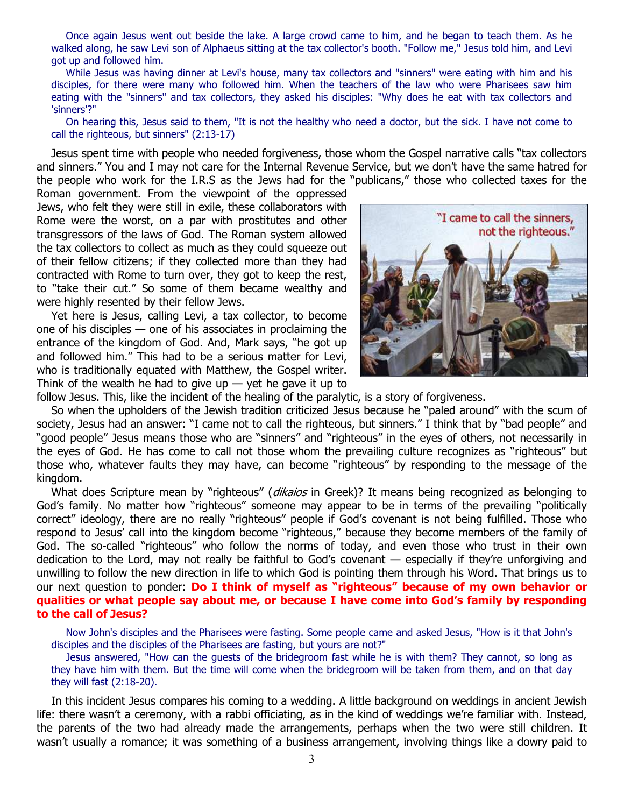Once again Jesus went out beside the lake. A large crowd came to him, and he began to teach them. As he walked along, he saw Levi son of Alphaeus sitting at the tax collector's booth. "Follow me," Jesus told him, and Levi got up and followed him.

While Jesus was having dinner at Levi's house, many tax collectors and "sinners" were eating with him and his disciples, for there were many who followed him. When the teachers of the law who were Pharisees saw him eating with the "sinners" and tax collectors, they asked his disciples: "Why does he eat with tax collectors and 'sinners'?"

On hearing this, Jesus said to them, "It is not the healthy who need a doctor, but the sick. I have not come to call the righteous, but sinners" (2:13-17)

Jesus spent time with people who needed forgiveness, those whom the Gospel narrative calls "tax collectors and sinners." You and I may not care for the Internal Revenue Service, but we don't have the same hatred for the people who work for the I.R.S as the Jews had for the "publicans," those who collected taxes for the

Roman government. From the viewpoint of the oppressed Jews, who felt they were still in exile, these collaborators with Rome were the worst, on a par with prostitutes and other transgressors of the laws of God. The Roman system allowed the tax collectors to collect as much as they could squeeze out of their fellow citizens; if they collected more than they had contracted with Rome to turn over, they got to keep the rest, to "take their cut." So some of them became wealthy and were highly resented by their fellow Jews.

Yet here is Jesus, calling Levi, a tax collector, to become one of his disciples — one of his associates in proclaiming the entrance of the kingdom of God. And, Mark says, "he got up and followed him." This had to be a serious matter for Levi, who is traditionally equated with Matthew, the Gospel writer. Think of the wealth he had to give up  $-$  yet he gave it up to



follow Jesus. This, like the incident of the healing of the paralytic, is a story of forgiveness.

So when the upholders of the Jewish tradition criticized Jesus because he "paled around" with the scum of society, Jesus had an answer: "I came not to call the righteous, but sinners." I think that by "bad people" and "good people" Jesus means those who are "sinners" and "righteous" in the eyes of others, not necessarily in the eyes of God. He has come to call not those whom the prevailing culture recognizes as "righteous" but those who, whatever faults they may have, can become "righteous" by responding to the message of the kingdom.

What does Scripture mean by "righteous" (dikaios in Greek)? It means being recognized as belonging to God's family. No matter how "righteous" someone may appear to be in terms of the prevailing "politically correct" ideology, there are no really "righteous" people if God's covenant is not being fulfilled. Those who respond to Jesus' call into the kingdom become "righteous," because they become members of the family of God. The so-called "righteous" who follow the norms of today, and even those who trust in their own dedication to the Lord, may not really be faithful to God's covenant — especially if they're unforgiving and unwilling to follow the new direction in life to which God is pointing them through his Word. That brings us to our next question to ponder: **Do I think of myself as "righteous" because of my own behavior or qualities or what people say about me, or because I have come into God's family by responding to the call of Jesus?** 

Now John's disciples and the Pharisees were fasting. Some people came and asked Jesus, "How is it that John's disciples and the disciples of the Pharisees are fasting, but yours are not?"

Jesus answered, "How can the guests of the bridegroom fast while he is with them? They cannot, so long as they have him with them. But the time will come when the bridegroom will be taken from them, and on that day they will fast (2:18-20).

In this incident Jesus compares his coming to a wedding. A little background on weddings in ancient Jewish life: there wasn't a ceremony, with a rabbi officiating, as in the kind of weddings we're familiar with. Instead, the parents of the two had already made the arrangements, perhaps when the two were still children. It wasn't usually a romance; it was something of a business arrangement, involving things like a dowry paid to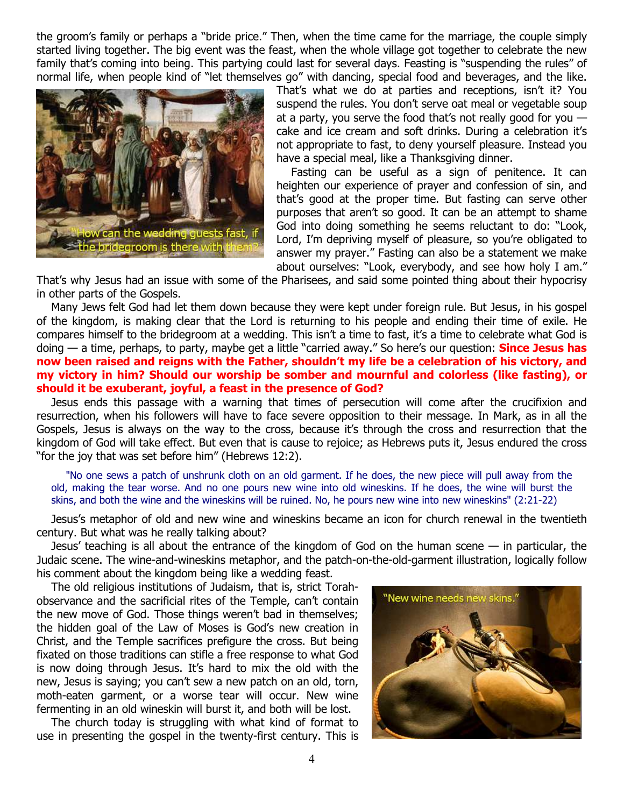the groom's family or perhaps a "bride price." Then, when the time came for the marriage, the couple simply started living together. The big event was the feast, when the whole village got together to celebrate the new family that's coming into being. This partying could last for several days. Feasting is "suspending the rules" of normal life, when people kind of "let themselves go" with dancing, special food and beverages, and the like.



That's what we do at parties and receptions, isn't it? You suspend the rules. You don't serve oat meal or vegetable soup at a party, you serve the food that's not really good for you  $$ cake and ice cream and soft drinks. During a celebration it's not appropriate to fast, to deny yourself pleasure. Instead you have a special meal, like a Thanksgiving dinner.

Fasting can be useful as a sign of penitence. It can heighten our experience of prayer and confession of sin, and that's good at the proper time. But fasting can serve other purposes that aren't so good. It can be an attempt to shame God into doing something he seems reluctant to do: "Look, Lord, I'm depriving myself of pleasure, so you're obligated to answer my prayer." Fasting can also be a statement we make about ourselves: "Look, everybody, and see how holy I am."

That's why Jesus had an issue with some of the Pharisees, and said some pointed thing about their hypocrisy in other parts of the Gospels.

Many Jews felt God had let them down because they were kept under foreign rule. But Jesus, in his gospel of the kingdom, is making clear that the Lord is returning to his people and ending their time of exile. He compares himself to the bridegroom at a wedding. This isn't a time to fast, it's a time to celebrate what God is doing — a time, perhaps, to party, maybe get a little "carried away." So here's our question: **Since Jesus has now been raised and reigns with the Father, shouldn't my life be a celebration of his victory, and my victory in him? Should our worship be somber and mournful and colorless (like fasting), or should it be exuberant, joyful, a feast in the presence of God?** 

Jesus ends this passage with a warning that times of persecution will come after the crucifixion and resurrection, when his followers will have to face severe opposition to their message. In Mark, as in all the Gospels, Jesus is always on the way to the cross, because it's through the cross and resurrection that the kingdom of God will take effect. But even that is cause to rejoice; as Hebrews puts it, Jesus endured the cross "for the joy that was set before him" (Hebrews 12:2).

"No one sews a patch of unshrunk cloth on an old garment. If he does, the new piece will pull away from the old, making the tear worse. And no one pours new wine into old wineskins. If he does, the wine will burst the skins, and both the wine and the wineskins will be ruined. No, he pours new wine into new wineskins" (2:21-22)

Jesus's metaphor of old and new wine and wineskins became an icon for church renewal in the twentieth century. But what was he really talking about?

Jesus' teaching is all about the entrance of the kingdom of God on the human scene — in particular, the Judaic scene. The wine-and-wineskins metaphor, and the patch-on-the-old-garment illustration, logically follow his comment about the kingdom being like a wedding feast.

The old religious institutions of Judaism, that is, strict Torahobservance and the sacrificial rites of the Temple, can't contain the new move of God. Those things weren't bad in themselves; the hidden goal of the Law of Moses is God's new creation in Christ, and the Temple sacrifices prefigure the cross. But being fixated on those traditions can stifle a free response to what God is now doing through Jesus. It's hard to mix the old with the new, Jesus is saying; you can't sew a new patch on an old, torn, moth-eaten garment, or a worse tear will occur. New wine fermenting in an old wineskin will burst it, and both will be lost.

The church today is struggling with what kind of format to use in presenting the gospel in the twenty-first century. This is

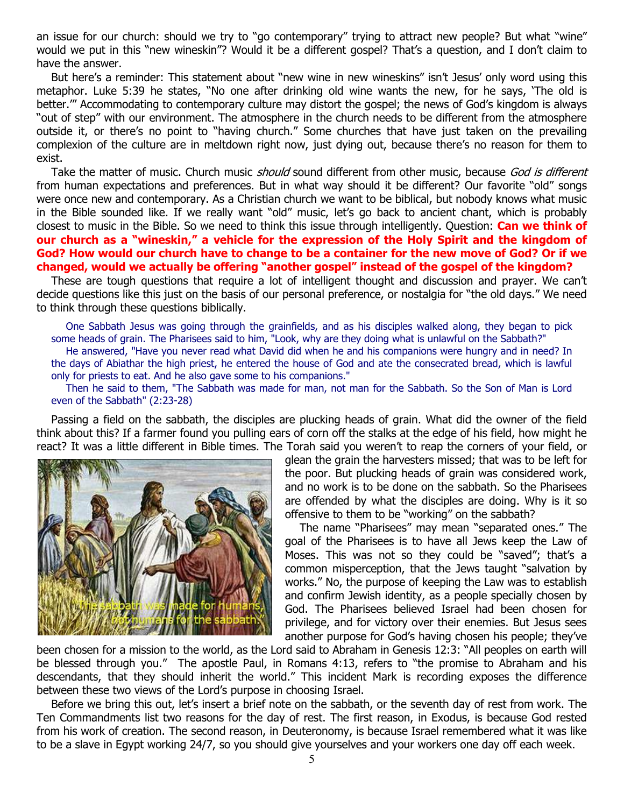an issue for our church: should we try to "go contemporary" trying to attract new people? But what "wine" would we put in this "new wineskin"? Would it be a different gospel? That's a question, and I don't claim to have the answer.

But here's a reminder: This statement about "new wine in new wineskins" isn't Jesus' only word using this metaphor. Luke 5:39 he states, "No one after drinking old wine wants the new, for he says, 'The old is better.'" Accommodating to contemporary culture may distort the gospel; the news of God's kingdom is always "out of step" with our environment. The atmosphere in the church needs to be different from the atmosphere outside it, or there's no point to "having church." Some churches that have just taken on the prevailing complexion of the culture are in meltdown right now, just dying out, because there's no reason for them to exist.

Take the matter of music. Church music *should* sound different from other music, because *God is different* from human expectations and preferences. But in what way should it be different? Our favorite "old" songs were once new and contemporary. As a Christian church we want to be biblical, but nobody knows what music in the Bible sounded like. If we really want "old" music, let's go back to ancient chant, which is probably closest to music in the Bible. So we need to think this issue through intelligently. Question: **Can we think of our church as a "wineskin," a vehicle for the expression of the Holy Spirit and the kingdom of God? How would our church have to change to be a container for the new move of God? Or if we changed, would we actually be offering "another gospel" instead of the gospel of the kingdom?** 

These are tough questions that require a lot of intelligent thought and discussion and prayer. We can't decide questions like this just on the basis of our personal preference, or nostalgia for "the old days." We need to think through these questions biblically.

One Sabbath Jesus was going through the grainfields, and as his disciples walked along, they began to pick some heads of grain. The Pharisees said to him, "Look, why are they doing what is unlawful on the Sabbath?" He answered, "Have you never read what David did when he and his companions were hungry and in need? In the days of Abiathar the high priest, he entered the house of God and ate the consecrated bread, which is lawful only for priests to eat. And he also gave some to his companions."

Then he said to them, "The Sabbath was made for man, not man for the Sabbath. So the Son of Man is Lord even of the Sabbath" (2:23-28)

Passing a field on the sabbath, the disciples are plucking heads of grain. What did the owner of the field think about this? If a farmer found you pulling ears of corn off the stalks at the edge of his field, how might he react? It was a little different in Bible times. The Torah said you weren't to reap the corners of your field, or



glean the grain the harvesters missed; that was to be left for the poor. But plucking heads of grain was considered work, and no work is to be done on the sabbath. So the Pharisees are offended by what the disciples are doing. Why is it so offensive to them to be "working" on the sabbath?

The name "Pharisees" may mean "separated ones." The goal of the Pharisees is to have all Jews keep the Law of Moses. This was not so they could be "saved"; that's a common misperception, that the Jews taught "salvation by works." No, the purpose of keeping the Law was to establish and confirm Jewish identity, as a people specially chosen by God. The Pharisees believed Israel had been chosen for privilege, and for victory over their enemies. But Jesus sees another purpose for God's having chosen his people; they've

been chosen for a mission to the world, as the Lord said to Abraham in Genesis 12:3: "All peoples on earth will be blessed through you." The apostle Paul, in Romans 4:13, refers to "the promise to Abraham and his descendants, that they should inherit the world." This incident Mark is recording exposes the difference between these two views of the Lord's purpose in choosing Israel.

Before we bring this out, let's insert a brief note on the sabbath, or the seventh day of rest from work. The Ten Commandments list two reasons for the day of rest. The first reason, in Exodus, is because God rested from his work of creation. The second reason, in Deuteronomy, is because Israel remembered what it was like to be a slave in Egypt working 24/7, so you should give yourselves and your workers one day off each week.